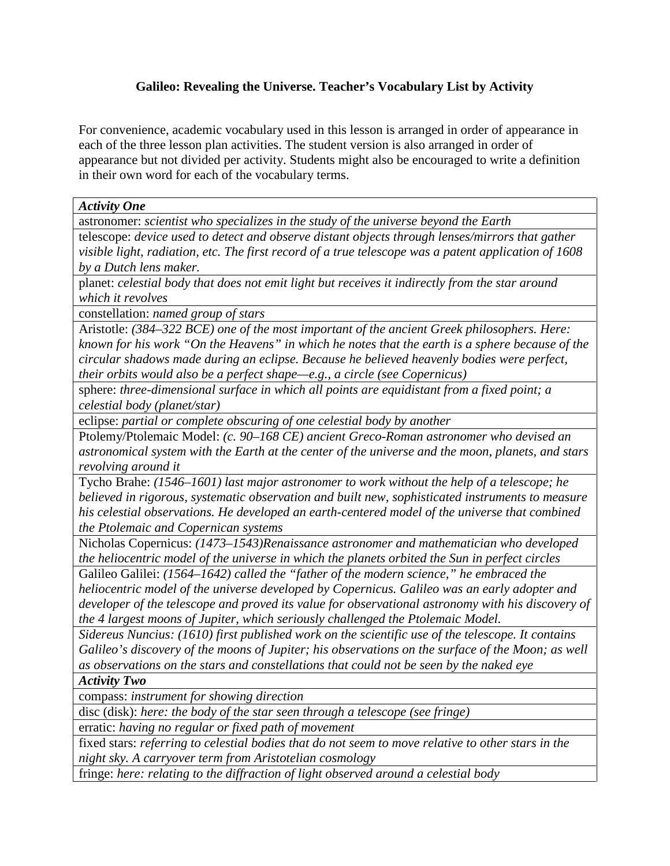## **Galileo: Revealing the Universe. Teacher's Vocabulary List by Activity**

For convenience, academic vocabulary used in this lesson is arranged in order of appearance in each of the three lesson plan activities. The student version is also arranged in order of appearance but not divided per activity. Students might also be encouraged to write a definition in their own word for each of the vocabulary terms.

*Activity One*

astronomer: *scientist who specializes in the study of the universe beyond the Earth*

telescope: *device used to detect and observe distant objects through lenses/mirrors that gather visible light, radiation, etc. The first record of a true telescope was a patent application of 1608 by a Dutch lens maker.* 

planet: *celestial body that does not emit light but receives it indirectly from the star around which it revolves*

constellation: *named group of stars* 

Aristotle: *(384–322 BCE) one of the most important of the ancient Greek philosophers. Here: known for his work "On the Heavens" in which he notes that the earth is a sphere because of the circular shadows made during an eclipse. Because he believed heavenly bodies were perfect,* 

*their orbits would also be a perfect shape—e.g., a circle (see Copernicus)*

sphere: *three-dimensional surface in which all points are equidistant from a fixed point; a celestial body (planet/star)*

eclipse: *partial or complete obscuring of one celestial body by another*

Ptolemy/Ptolemaic Model: *(c. 90–168 CE) ancient Greco-Roman astronomer who devised an astronomical system with the Earth at the center of the universe and the moon, planets, and stars revolving around it*

Tycho Brahe: *(1546–1601) last major astronomer to work without the help of a telescope; he believed in rigorous, systematic observation and built new, sophisticated instruments to measure his celestial observations. He developed an earth-centered model of the universe that combined the Ptolemaic and Copernican systems*

Nicholas Copernicus: *(1473–1543)Renaissance astronomer and mathematician who developed the heliocentric model of the universe in which the planets orbited the Sun in perfect circles*

Galileo Galilei: *(1564–1642) called the "father of the modern science," he embraced the heliocentric model of the universe developed by Copernicus. Galileo was an early adopter and developer of the telescope and proved its value for observational astronomy with his discovery of the 4 largest moons of Jupiter, which seriously challenged the Ptolemaic Model.* 

*Sidereus Nuncius: (1610) first published work on the scientific use of the telescope. It contains Galileo's discovery of the moons of Jupiter; his observations on the surface of the Moon; as well as observations on the stars and constellations that could not be seen by the naked eye*

*Activity Two*

compass: *instrument for showing direction*

disc (disk): *here: the body of the star seen through a telescope (see fringe)*

erratic: *having no regular or fixed path of movement*

fixed stars: *referring to celestial bodies that do not seem to move relative to other stars in the night sky. A carryover term from Aristotelian cosmology*

fringe: *here: relating to the diffraction of light observed around a celestial body*